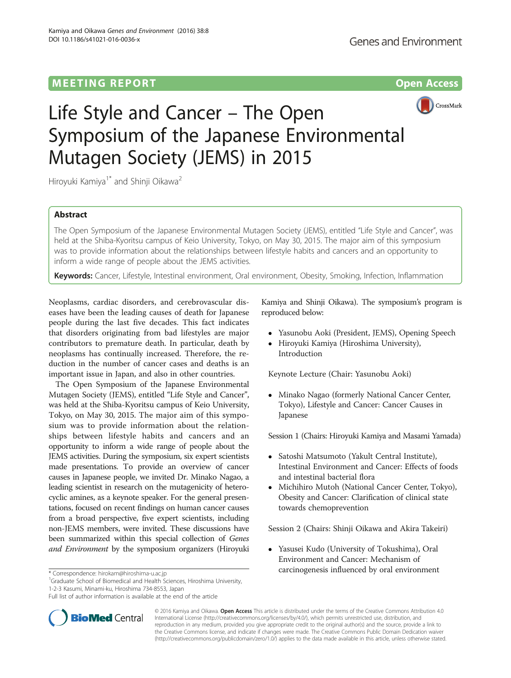

# Life Style and Cancer – The Open Symposium of the Japanese Environmental Mutagen Society (JEMS) in 2015

Hiroyuki Kamiya<sup>1\*</sup> and Shinji Oikawa<sup>2</sup>

## Abstract

The Open Symposium of the Japanese Environmental Mutagen Society (JEMS), entitled "Life Style and Cancer", was held at the Shiba-Kyoritsu campus of Keio University, Tokyo, on May 30, 2015. The major aim of this symposium was to provide information about the relationships between lifestyle habits and cancers and an opportunity to inform a wide range of people about the JEMS activities.

Keywords: Cancer, Lifestyle, Intestinal environment, Oral environment, Obesity, Smoking, Infection, Inflammation

Neoplasms, cardiac disorders, and cerebrovascular diseases have been the leading causes of death for Japanese people during the last five decades. This fact indicates that disorders originating from bad lifestyles are major contributors to premature death. In particular, death by neoplasms has continually increased. Therefore, the reduction in the number of cancer cases and deaths is an important issue in Japan, and also in other countries.

The Open Symposium of the Japanese Environmental Mutagen Society (JEMS), entitled "Life Style and Cancer", was held at the Shiba-Kyoritsu campus of Keio University, Tokyo, on May 30, 2015. The major aim of this symposium was to provide information about the relationships between lifestyle habits and cancers and an opportunity to inform a wide range of people about the JEMS activities. During the symposium, six expert scientists made presentations. To provide an overview of cancer causes in Japanese people, we invited Dr. Minako Nagao, a leading scientist in research on the mutagenicity of heterocyclic amines, as a keynote speaker. For the general presentations, focused on recent findings on human cancer causes from a broad perspective, five expert scientists, including non-JEMS members, were invited. These discussions have been summarized within this special collection of Genes and Environment by the symposium organizers (Hiroyuki

<sup>1</sup>Graduate School of Biomedical and Health Sciences, Hiroshima University, 1-2-3 Kasumi, Minami-ku, Hiroshima 734-8553, Japan

Kamiya and Shinji Oikawa). The symposium's program is reproduced below:

- Yasunobu Aoki (President, JEMS), Opening Speech<br>• Hirovuki Kamiva (Hiroshima University).
- Hiroyuki Kamiya (Hiroshima University), Introduction

Keynote Lecture (Chair: Yasunobu Aoki)

 Minako Nagao (formerly National Cancer Center, Tokyo), Lifestyle and Cancer: Cancer Causes in Japanese

Session 1 (Chairs: Hiroyuki Kamiya and Masami Yamada)

- Satoshi Matsumoto (Yakult Central Institute), Intestinal Environment and Cancer: Effects of foods and intestinal bacterial flora
- Michihiro Mutoh (National Cancer Center, Tokyo), Obesity and Cancer: Clarification of clinical state towards chemoprevention

Session 2 (Chairs: Shinji Oikawa and Akira Takeiri)

 Yasusei Kudo (University of Tokushima), Oral Environment and Cancer: Mechanism of \* Correspondence: [hirokam@hiroshima-u.ac.jp](mailto:hirokam@hiroshima-u.ac.jp) **1.1 Correspondence**: hirokam@hiroshima-u.ac.jp 1.1 Correspondence: hirokam@hiroshima-u.ac.jp



© 2016 Kamiya and Oikawa. Open Access This article is distributed under the terms of the Creative Commons Attribution 4.0 International License [\(http://creativecommons.org/licenses/by/4.0/](http://creativecommons.org/licenses/by/4.0/)), which permits unrestricted use, distribution, and reproduction in any medium, provided you give appropriate credit to the original author(s) and the source, provide a link to the Creative Commons license, and indicate if changes were made. The Creative Commons Public Domain Dedication waiver [\(http://creativecommons.org/publicdomain/zero/1.0/](http://creativecommons.org/publicdomain/zero/1.0/)) applies to the data made available in this article, unless otherwise stated.

Full list of author information is available at the end of the article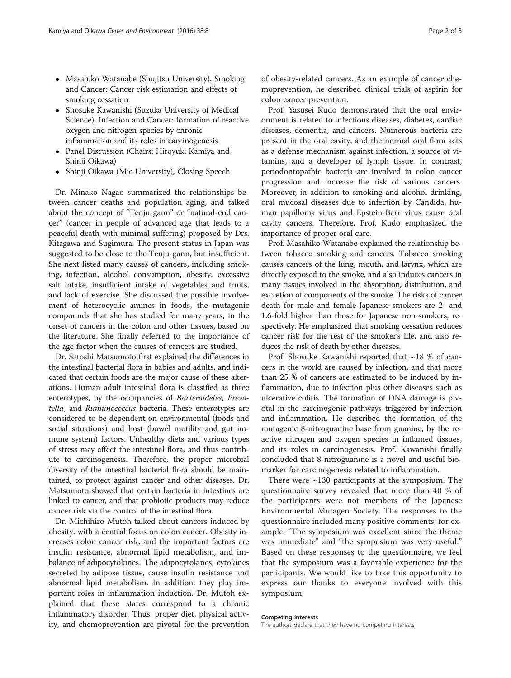- Masahiko Watanabe (Shujitsu University), Smoking and Cancer: Cancer risk estimation and effects of smoking cessation
- Shosuke Kawanishi (Suzuka University of Medical Science), Infection and Cancer: formation of reactive oxygen and nitrogen species by chronic inflammation and its roles in carcinogenesis
- Panel Discussion (Chairs: Hiroyuki Kamiya and Shinji Oikawa)
- Shinji Oikawa (Mie University), Closing Speech

Dr. Minako Nagao summarized the relationships between cancer deaths and population aging, and talked about the concept of "Tenju-gann" or "natural-end cancer" (cancer in people of advanced age that leads to a peaceful death with minimal suffering) proposed by Drs. Kitagawa and Sugimura. The present status in Japan was suggested to be close to the Tenju-gann, but insufficient. She next listed many causes of cancers, including smoking, infection, alcohol consumption, obesity, excessive salt intake, insufficient intake of vegetables and fruits, and lack of exercise. She discussed the possible involvement of heterocyclic amines in foods, the mutagenic compounds that she has studied for many years, in the onset of cancers in the colon and other tissues, based on the literature. She finally referred to the importance of the age factor when the causes of cancers are studied.

Dr. Satoshi Matsumoto first explained the differences in the intestinal bacterial flora in babies and adults, and indicated that certain foods are the major cause of these alterations. Human adult intestinal flora is classified as three enterotypes, by the occupancies of Bacteroidetes, Prevotella, and Rumunococcus bacteria. These enterotypes are considered to be dependent on environmental (foods and social situations) and host (bowel motility and gut immune system) factors. Unhealthy diets and various types of stress may affect the intestinal flora, and thus contribute to carcinogenesis. Therefore, the proper microbial diversity of the intestinal bacterial flora should be maintained, to protect against cancer and other diseases. Dr. Matsumoto showed that certain bacteria in intestines are linked to cancer, and that probiotic products may reduce cancer risk via the control of the intestinal flora.

Dr. Michihiro Mutoh talked about cancers induced by obesity, with a central focus on colon cancer. Obesity increases colon cancer risk, and the important factors are insulin resistance, abnormal lipid metabolism, and imbalance of adipocytokines. The adipocytokines, cytokines secreted by adipose tissue, cause insulin resistance and abnormal lipid metabolism. In addition, they play important roles in inflammation induction. Dr. Mutoh explained that these states correspond to a chronic inflammatory disorder. Thus, proper diet, physical activity, and chemoprevention are pivotal for the prevention

of obesity-related cancers. As an example of cancer chemoprevention, he described clinical trials of aspirin for colon cancer prevention.

Prof. Yasusei Kudo demonstrated that the oral environment is related to infectious diseases, diabetes, cardiac diseases, dementia, and cancers. Numerous bacteria are present in the oral cavity, and the normal oral flora acts as a defense mechanism against infection, a source of vitamins, and a developer of lymph tissue. In contrast, periodontopathic bacteria are involved in colon cancer progression and increase the risk of various cancers. Moreover, in addition to smoking and alcohol drinking, oral mucosal diseases due to infection by Candida, human papilloma virus and Epstein-Barr virus cause oral cavity cancers. Therefore, Prof. Kudo emphasized the importance of proper oral care.

Prof. Masahiko Watanabe explained the relationship between tobacco smoking and cancers. Tobacco smoking causes cancers of the lung, mouth, and larynx, which are directly exposed to the smoke, and also induces cancers in many tissues involved in the absorption, distribution, and excretion of components of the smoke. The risks of cancer death for male and female Japanese smokers are 2- and 1.6-fold higher than those for Japanese non-smokers, respectively. He emphasized that smoking cessation reduces cancer risk for the rest of the smoker's life, and also reduces the risk of death by other diseases.

Prof. Shosuke Kawanishi reported that ~18 % of cancers in the world are caused by infection, and that more than 25 % of cancers are estimated to be induced by inflammation, due to infection plus other diseases such as ulcerative colitis. The formation of DNA damage is pivotal in the carcinogenic pathways triggered by infection and inflammation. He described the formation of the mutagenic 8-nitroguanine base from guanine, by the reactive nitrogen and oxygen species in inflamed tissues, and its roles in carcinogenesis. Prof. Kawanishi finally concluded that 8-nitroguanine is a novel and useful biomarker for carcinogenesis related to inflammation.

There were  $\sim$ 130 participants at the symposium. The questionnaire survey revealed that more than 40 % of the participants were not members of the Japanese Environmental Mutagen Society. The responses to the questionnaire included many positive comments; for example, "The symposium was excellent since the theme was immediate" and "the symposium was very useful." Based on these responses to the questionnaire, we feel that the symposium was a favorable experience for the participants. We would like to take this opportunity to express our thanks to everyone involved with this symposium.

#### Competing interests

The authors declare that they have no competing interests.